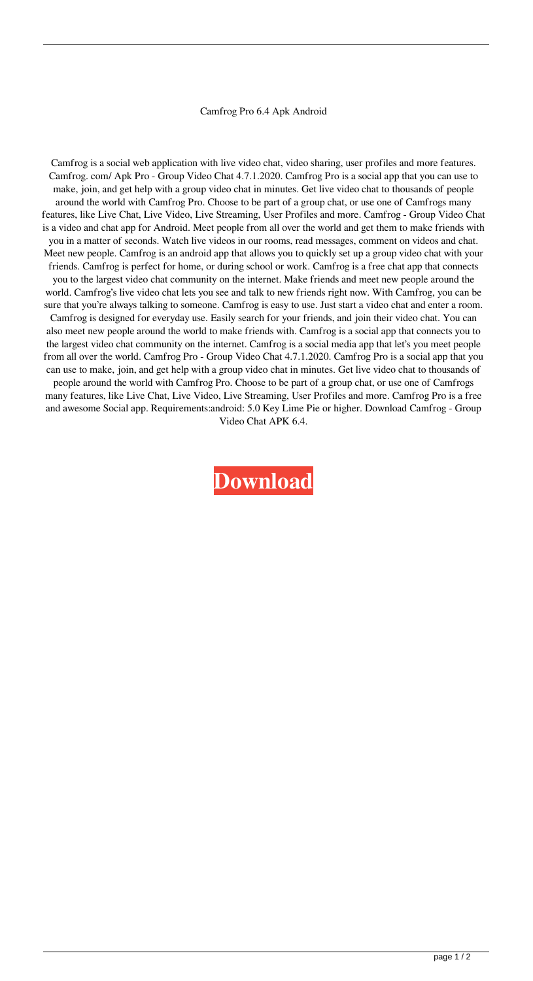## Camfrog Pro 6.4 Apk Android

Camfrog is a social web application with live video chat, video sharing, user profiles and more features. Camfrog. com/ Apk Pro - Group Video Chat 4.7.1.2020. Camfrog Pro is a social app that you can use to make, join, and get help with a group video chat in minutes. Get live video chat to thousands of people around the world with Camfrog Pro. Choose to be part of a group chat, or use one of Camfrogs many features, like Live Chat, Live Video, Live Streaming, User Profiles and more. Camfrog - Group Video Chat is a video and chat app for Android. Meet people from all over the world and get them to make friends with you in a matter of seconds. Watch live videos in our rooms, read messages, comment on videos and chat. Meet new people. Camfrog is an android app that allows you to quickly set up a group video chat with your friends. Camfrog is perfect for home, or during school or work. Camfrog is a free chat app that connects you to the largest video chat community on the internet. Make friends and meet new people around the world. Camfrog's live video chat lets you see and talk to new friends right now. With Camfrog, you can be sure that you're always talking to someone. Camfrog is easy to use. Just start a video chat and enter a room. Camfrog is designed for everyday use. Easily search for your friends, and join their video chat. You can also meet new people around the world to make friends with. Camfrog is a social app that connects you to the largest video chat community on the internet. Camfrog is a social media app that let's you meet people from all over the world. Camfrog Pro - Group Video Chat 4.7.1.2020. Camfrog Pro is a social app that you can use to make, join, and get help with a group video chat in minutes. Get live video chat to thousands of people around the world with Camfrog Pro. Choose to be part of a group chat, or use one of Camfrogs many features, like Live Chat, Live Video, Live Streaming, User Profiles and more. Camfrog Pro is a free and awesome Social app. Requirements:android: 5.0 Key Lime Pie or higher. Download Camfrog - Group Video Chat APK 6.4.

**[Download](http://evacdir.com/mahavir/psychoanalysts/shoami.siblings/Y2FtZnJvZyBwcm8gNi40IGFwayBhbmRyb2lkY2F/ZG93bmxvYWR8RkI2TW1wbmQzeDhNVFkxTWpjME1EZzJObng4TWpVM05IeDhLRTBwSUhKbFlXUXRZbXh2WnlCYlJtRnpkQ0JIUlU1ZA/)**